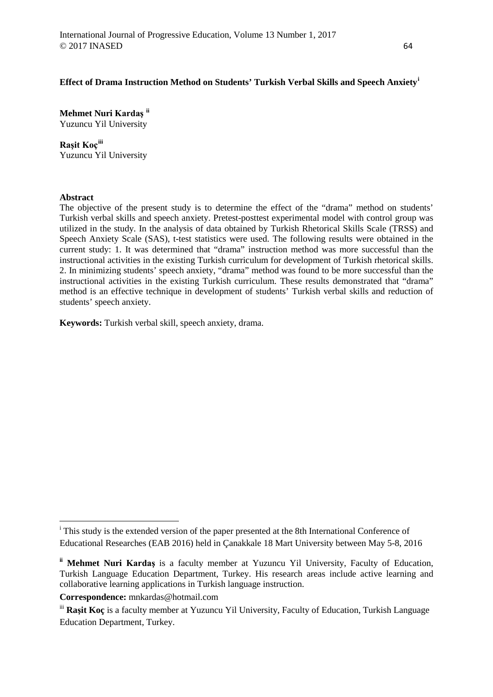# **Effect of Drama Instruction Method on Students' Turkish Verbal Skills and Speech Anxiety[i](#page-0-0)**

**Mehmet Nuri Kardaş [ii](#page-0-1)** Yuzuncu Yil University

# **Raşit Koç[iii](#page-0-2)**

Yuzuncu Yil University

# **Abstract**

<u>.</u>

The objective of the present study is to determine the effect of the "drama" method on students' Turkish verbal skills and speech anxiety. Pretest-posttest experimental model with control group was utilized in the study. In the analysis of data obtained by Turkish Rhetorical Skills Scale (TRSS) and Speech Anxiety Scale (SAS), t-test statistics were used. The following results were obtained in the current study: 1. It was determined that "drama" instruction method was more successful than the instructional activities in the existing Turkish curriculum for development of Turkish rhetorical skills. 2. In minimizing students' speech anxiety, "drama" method was found to be more successful than the instructional activities in the existing Turkish curriculum. These results demonstrated that "drama" method is an effective technique in development of students' Turkish verbal skills and reduction of students' speech anxiety.

**Keywords:** Turkish verbal skill, speech anxiety, drama.

<span id="page-0-0"></span><sup>&</sup>lt;sup>i</sup> This study is the extended version of the paper presented at the 8th International Conference of Educational Researches (EAB 2016) held in Çanakkale 18 Mart University between May 5-8, 2016

<span id="page-0-1"></span>**ii Mehmet Nuri Kardaş** is a faculty member at Yuzuncu Yil University, Faculty of Education, Turkish Language Education Department, Turkey. His research areas include active learning and collaborative learning applications in Turkish language instruction.

**Correspondence:** mnkardas@hotmail.com

<span id="page-0-2"></span><sup>&</sup>lt;sup>iii</sup> Rasit Koc is a faculty member at Yuzuncu Yil University, Faculty of Education, Turkish Language Education Department, Turkey.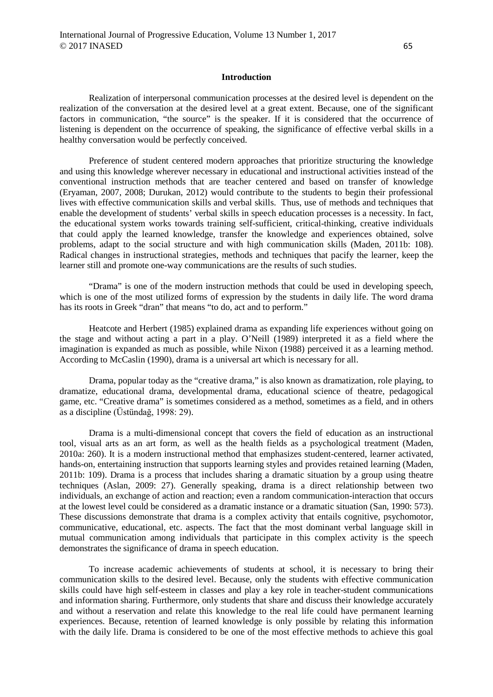#### **Introduction**

Realization of interpersonal communication processes at the desired level is dependent on the realization of the conversation at the desired level at a great extent. Because, one of the significant factors in communication, "the source" is the speaker. If it is considered that the occurrence of listening is dependent on the occurrence of speaking, the significance of effective verbal skills in a healthy conversation would be perfectly conceived.

Preference of student centered modern approaches that prioritize structuring the knowledge and using this knowledge wherever necessary in educational and instructional activities instead of the conventional instruction methods that are teacher centered and based on transfer of knowledge (Eryaman, 2007, 2008; Durukan, 2012) would contribute to the students to begin their professional lives with effective communication skills and verbal skills. Thus, use of methods and techniques that enable the development of students' verbal skills in speech education processes is a necessity. In fact, the educational system works towards training self-sufficient, critical-thinking, creative individuals that could apply the learned knowledge, transfer the knowledge and experiences obtained, solve problems, adapt to the social structure and with high communication skills (Maden, 2011b: 108). Radical changes in instructional strategies, methods and techniques that pacify the learner, keep the learner still and promote one-way communications are the results of such studies.

"Drama" is one of the modern instruction methods that could be used in developing speech, which is one of the most utilized forms of expression by the students in daily life. The word drama has its roots in Greek "dran" that means "to do, act and to perform."

Heatcote and Herbert (1985) explained drama as expanding life experiences without going on the stage and without acting a part in a play. O'Neill (1989) interpreted it as a field where the imagination is expanded as much as possible, while Nixon (1988) perceived it as a learning method. According to McCaslin (1990), drama is a universal art which is necessary for all.

Drama, popular today as the "creative drama," is also known as dramatization, role playing, to dramatize, educational drama, developmental drama, educational science of theatre, pedagogical game, etc. "Creative drama" is sometimes considered as a method, sometimes as a field, and in others as a discipline (Üstündağ, 1998: 29).

Drama is a multi-dimensional concept that covers the field of education as an instructional tool, visual arts as an art form, as well as the health fields as a psychological treatment (Maden, 2010a: 260). It is a modern instructional method that emphasizes student-centered, learner activated, hands-on, entertaining instruction that supports learning styles and provides retained learning (Maden, 2011b: 109). Drama is a process that includes sharing a dramatic situation by a group using theatre techniques (Aslan, 2009: 27). Generally speaking, drama is a direct relationship between two individuals, an exchange of action and reaction; even a random communication-interaction that occurs at the lowest level could be considered as a dramatic instance or a dramatic situation (San, 1990: 573). These discussions demonstrate that drama is a complex activity that entails cognitive, psychomotor, communicative, educational, etc. aspects. The fact that the most dominant verbal language skill in mutual communication among individuals that participate in this complex activity is the speech demonstrates the significance of drama in speech education.

To increase academic achievements of students at school, it is necessary to bring their communication skills to the desired level. Because, only the students with effective communication skills could have high self-esteem in classes and play a key role in teacher-student communications and information sharing. Furthermore, only students that share and discuss their knowledge accurately and without a reservation and relate this knowledge to the real life could have permanent learning experiences. Because, retention of learned knowledge is only possible by relating this information with the daily life. Drama is considered to be one of the most effective methods to achieve this goal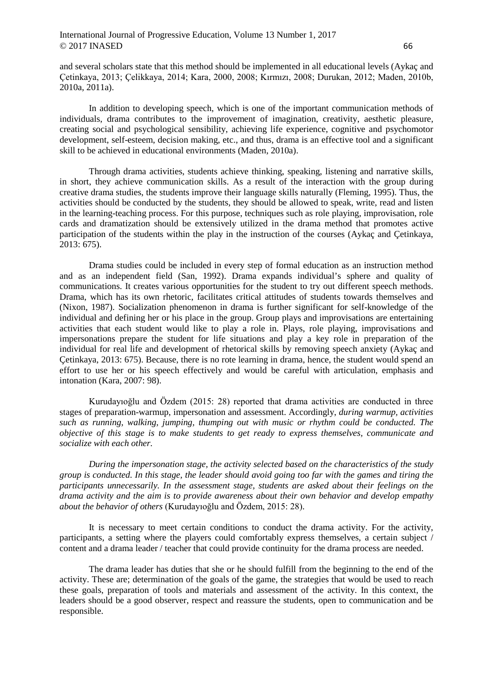# International Journal of Progressive Education, Volume 13 Number 1, 2017  $\odot$  2017 INASED 66

and several scholars state that this method should be implemented in all educational levels (Aykaç and Çetinkaya, 2013; Çelikkaya, 2014; Kara, 2000, 2008; Kırmızı, 2008; Durukan, 2012; Maden, 2010b, 2010a, 2011a).

In addition to developing speech, which is one of the important communication methods of individuals, drama contributes to the improvement of imagination, creativity, aesthetic pleasure, creating social and psychological sensibility, achieving life experience, cognitive and psychomotor development, self-esteem, decision making, etc., and thus, drama is an effective tool and a significant skill to be achieved in educational environments (Maden, 2010a).

Through drama activities, students achieve thinking, speaking, listening and narrative skills, in short, they achieve communication skills. As a result of the interaction with the group during creative drama studies, the students improve their language skills naturally (Fleming, 1995). Thus, the activities should be conducted by the students, they should be allowed to speak, write, read and listen in the learning-teaching process. For this purpose, techniques such as role playing, improvisation, role cards and dramatization should be extensively utilized in the drama method that promotes active participation of the students within the play in the instruction of the courses (Aykaç and Çetinkaya, 2013: 675).

Drama studies could be included in every step of formal education as an instruction method and as an independent field (San, 1992). Drama expands individual's sphere and quality of communications. It creates various opportunities for the student to try out different speech methods. Drama, which has its own rhetoric, facilitates critical attitudes of students towards themselves and (Nixon, 1987). Socialization phenomenon in drama is further significant for self-knowledge of the individual and defining her or his place in the group. Group plays and improvisations are entertaining activities that each student would like to play a role in. Plays, role playing, improvisations and impersonations prepare the student for life situations and play a key role in preparation of the individual for real life and development of rhetorical skills by removing speech anxiety (Aykaç and Çetinkaya, 2013: 675). Because, there is no rote learning in drama, hence, the student would spend an effort to use her or his speech effectively and would be careful with articulation, emphasis and intonation (Kara, 2007: 98).

Kurudayıoğlu and Özdem (2015: 28) reported that drama activities are conducted in three stages of preparation-warmup, impersonation and assessment. Accordingly, *during warmup, activities such as running, walking, jumping, thumping out with music or rhythm could be conducted. The objective of this stage is to make students to get ready to express themselves, communicate and socialize with each other.*

*During the impersonation stage, the activity selected based on the characteristics of the study group is conducted. In this stage, the leader should avoid going too far with the games and tiring the participants unnecessarily. In the assessment stage, students are asked about their feelings on the drama activity and the aim is to provide awareness about their own behavior and develop empathy about the behavior of others* (Kurudayıoğlu and Özdem, 2015: 28).

It is necessary to meet certain conditions to conduct the drama activity. For the activity, participants, a setting where the players could comfortably express themselves, a certain subject / content and a drama leader / teacher that could provide continuity for the drama process are needed.

The drama leader has duties that she or he should fulfill from the beginning to the end of the activity. These are; determination of the goals of the game, the strategies that would be used to reach these goals, preparation of tools and materials and assessment of the activity. In this context, the leaders should be a good observer, respect and reassure the students, open to communication and be responsible.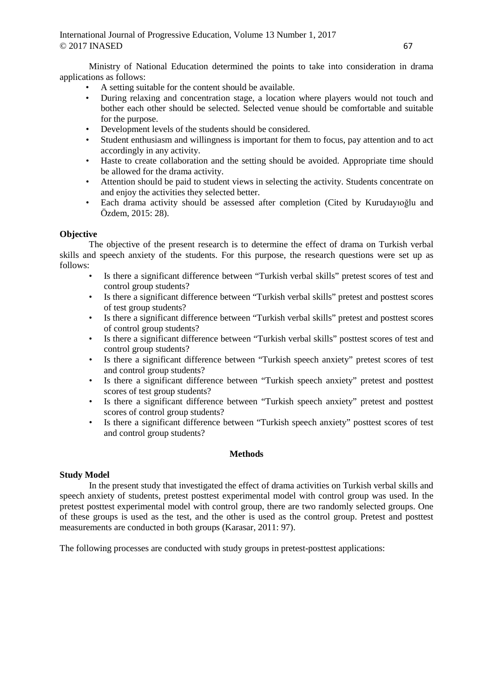Ministry of National Education determined the points to take into consideration in drama applications as follows:

- A setting suitable for the content should be available.
- During relaxing and concentration stage, a location where players would not touch and bother each other should be selected. Selected venue should be comfortable and suitable for the purpose.
- Development levels of the students should be considered.
- Student enthusiasm and willingness is important for them to focus, pay attention and to act accordingly in any activity.
- Haste to create collaboration and the setting should be avoided. Appropriate time should be allowed for the drama activity.
- Attention should be paid to student views in selecting the activity. Students concentrate on and enjoy the activities they selected better.
- Each drama activity should be assessed after completion (Cited by Kurudayıoğlu and Özdem, 2015: 28).

# **Objective**

The objective of the present research is to determine the effect of drama on Turkish verbal skills and speech anxiety of the students. For this purpose, the research questions were set up as follows:

- Is there a significant difference between "Turkish verbal skills" pretest scores of test and control group students?
- Is there a significant difference between "Turkish verbal skills" pretest and posttest scores of test group students?
- Is there a significant difference between "Turkish verbal skills" pretest and posttest scores of control group students?
- Is there a significant difference between "Turkish verbal skills" posttest scores of test and control group students?
- Is there a significant difference between "Turkish speech anxiety" pretest scores of test and control group students?
- Is there a significant difference between "Turkish speech anxiety" pretest and posttest scores of test group students?
- Is there a significant difference between "Turkish speech anxiety" pretest and posttest scores of control group students?
- Is there a significant difference between "Turkish speech anxiety" posttest scores of test and control group students?

# **Methods**

# **Study Model**

In the present study that investigated the effect of drama activities on Turkish verbal skills and speech anxiety of students, pretest posttest experimental model with control group was used. In the pretest posttest experimental model with control group, there are two randomly selected groups. One of these groups is used as the test, and the other is used as the control group. Pretest and posttest measurements are conducted in both groups (Karasar, 2011: 97).

The following processes are conducted with study groups in pretest-posttest applications: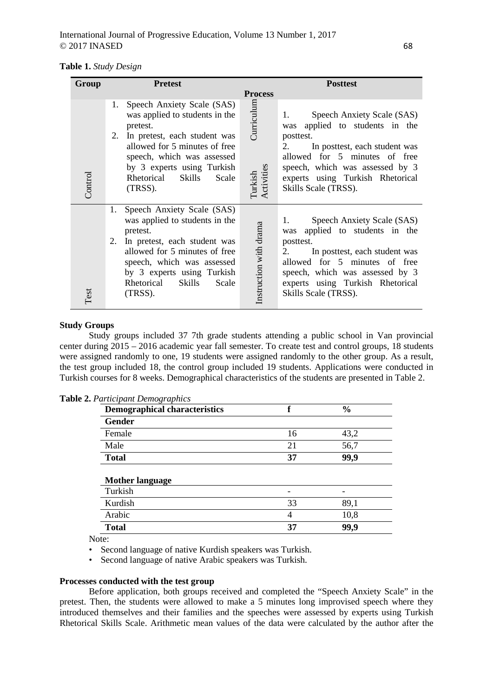|  |  |  | <b>Table 1.</b> Study Design |
|--|--|--|------------------------------|
|--|--|--|------------------------------|

| Group   | <b>Pretest</b>                                                                                                                                                                                                                                                       | <b>Posttest</b>                                                                                                                                                                                                                                                                                  |  |  |  |
|---------|----------------------------------------------------------------------------------------------------------------------------------------------------------------------------------------------------------------------------------------------------------------------|--------------------------------------------------------------------------------------------------------------------------------------------------------------------------------------------------------------------------------------------------------------------------------------------------|--|--|--|
|         |                                                                                                                                                                                                                                                                      | <b>Process</b>                                                                                                                                                                                                                                                                                   |  |  |  |
| Control | Speech Anxiety Scale (SAS)<br>1.<br>was applied to students in the<br>pretest.<br>In pretest, each student was<br>2.<br>allowed for 5 minutes of free<br>speech, which was assessed<br>by 3 experts using Turkish<br>Rhetorical Skills<br>Scale<br>(TRSS).           | Curriculum<br>Speech Anxiety Scale (SAS)<br>1.<br>applied to students in the<br>was<br>posttest.<br>In posttest, each student was<br>2.<br>allowed for 5 minutes of free<br>Turkish<br>Activities<br>speech, which was assessed by 3<br>experts using Turkish Rhetorical<br>Skills Scale (TRSS). |  |  |  |
| Test    | Speech Anxiety Scale (SAS)<br>1.<br>was applied to students in the<br>pretest.<br>2.<br>In pretest, each student was<br>allowed for 5 minutes of free<br>speech, which was assessed<br>by 3 experts using Turkish<br><b>Skills</b><br>Scale<br>Rhetorical<br>(TRSS). | Speech Anxiety Scale (SAS)<br>1.<br>Instruction with drama<br>applied to students in the<br>was<br>posttest.<br>In posttest, each student was<br>2.<br>allowed for 5 minutes of free<br>speech, which was assessed by 3<br>experts using Turkish Rhetorical<br>Skills Scale (TRSS).              |  |  |  |

# **Study Groups**

Study groups included 37 7th grade students attending a public school in Van provincial center during 2015 – 2016 academic year fall semester. To create test and control groups, 18 students were assigned randomly to one, 19 students were assigned randomly to the other group. As a result, the test group included 18, the control group included 19 students. Applications were conducted in Turkish courses for 8 weeks. Demographical characteristics of the students are presented in Table 2.

| <b>Demographical characteristics</b> | f  | $\frac{0}{0}$ |
|--------------------------------------|----|---------------|
| <b>Gender</b>                        |    |               |
| Female                               | 16 | 43,2          |
| Male                                 | 21 | 56,7          |
| <b>Total</b>                         | 37 | 99,9          |
|                                      |    |               |
| <b>Mother language</b>               |    |               |
| Turkish                              |    |               |
| Kurdish                              | 33 | 89,1          |
| Arabic                               | 4  | 10,8          |
| <b>Total</b>                         | 37 | 99,9          |

|  | Table 2. Participant Demographics |  |  |
|--|-----------------------------------|--|--|
|--|-----------------------------------|--|--|

Note:

• Second language of native Kurdish speakers was Turkish.

• Second language of native Arabic speakers was Turkish.

#### **Processes conducted with the test group**

Before application, both groups received and completed the "Speech Anxiety Scale" in the pretest. Then, the students were allowed to make a 5 minutes long improvised speech where they introduced themselves and their families and the speeches were assessed by experts using Turkish Rhetorical Skills Scale. Arithmetic mean values of the data were calculated by the author after the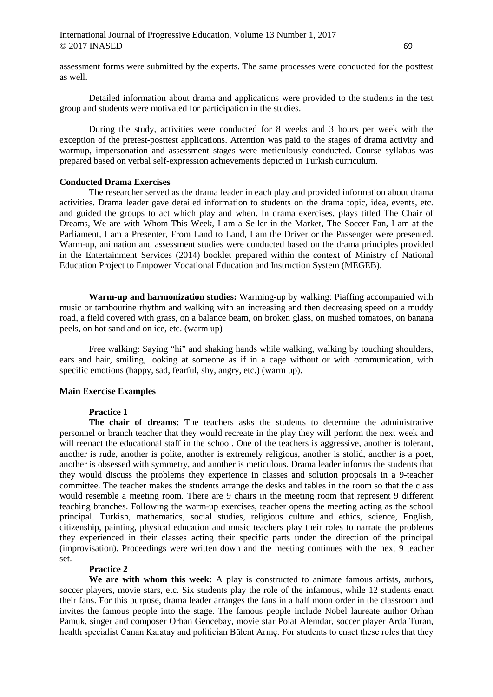assessment forms were submitted by the experts. The same processes were conducted for the posttest as well.

Detailed information about drama and applications were provided to the students in the test group and students were motivated for participation in the studies.

During the study, activities were conducted for 8 weeks and 3 hours per week with the exception of the pretest-posttest applications. Attention was paid to the stages of drama activity and warmup, impersonation and assessment stages were meticulously conducted. Course syllabus was prepared based on verbal self-expression achievements depicted in Turkish curriculum.

# **Conducted Drama Exercises**

The researcher served as the drama leader in each play and provided information about drama activities. Drama leader gave detailed information to students on the drama topic, idea, events, etc. and guided the groups to act which play and when. In drama exercises, plays titled The Chair of Dreams, We are with Whom This Week, I am a Seller in the Market, The Soccer Fan, I am at the Parliament, I am a Presenter, From Land to Land, I am the Driver or the Passenger were presented. Warm-up, animation and assessment studies were conducted based on the drama principles provided in the Entertainment Services (2014) booklet prepared within the context of Ministry of National Education Project to Empower Vocational Education and Instruction System (MEGEB).

**Warm-up and harmonization studies:** Warming-up by walking: Piaffing accompanied with music or tambourine rhythm and walking with an increasing and then decreasing speed on a muddy road, a field covered with grass, on a balance beam, on broken glass, on mushed tomatoes, on banana peels, on hot sand and on ice, etc. (warm up)

Free walking: Saying "hi" and shaking hands while walking, walking by touching shoulders, ears and hair, smiling, looking at someone as if in a cage without or with communication, with specific emotions (happy, sad, fearful, shy, angry, etc.) (warm up).

# **Main Exercise Examples**

# **Practice 1**

**The chair of dreams:** The teachers asks the students to determine the administrative personnel or branch teacher that they would recreate in the play they will perform the next week and will reenact the educational staff in the school. One of the teachers is aggressive, another is tolerant, another is rude, another is polite, another is extremely religious, another is stolid, another is a poet, another is obsessed with symmetry, and another is meticulous. Drama leader informs the students that they would discuss the problems they experience in classes and solution proposals in a 9-teacher committee. The teacher makes the students arrange the desks and tables in the room so that the class would resemble a meeting room. There are 9 chairs in the meeting room that represent 9 different teaching branches. Following the warm-up exercises, teacher opens the meeting acting as the school principal. Turkish, mathematics, social studies, religious culture and ethics, science, English, citizenship, painting, physical education and music teachers play their roles to narrate the problems they experienced in their classes acting their specific parts under the direction of the principal (improvisation). Proceedings were written down and the meeting continues with the next 9 teacher set.

### **Practice 2**

**We are with whom this week:** A play is constructed to animate famous artists, authors, soccer players, movie stars, etc. Six students play the role of the infamous, while 12 students enact their fans. For this purpose, drama leader arranges the fans in a half moon order in the classroom and invites the famous people into the stage. The famous people include Nobel laureate author Orhan Pamuk, singer and composer Orhan Gencebay, movie star Polat Alemdar, soccer player Arda Turan, health specialist Canan Karatay and politician Bülent Arınç. For students to enact these roles that they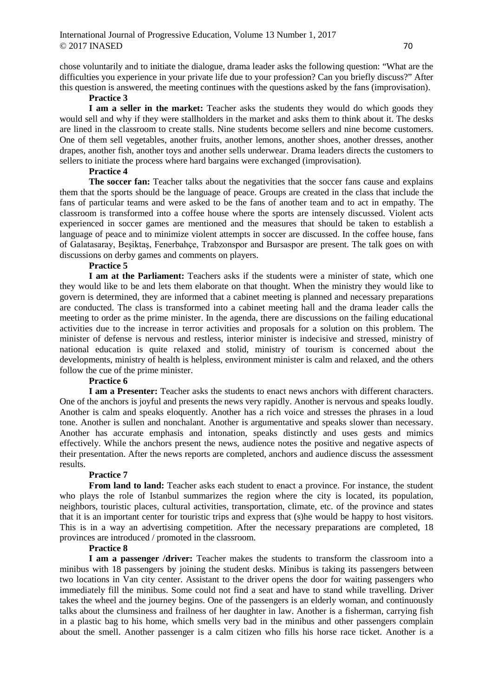chose voluntarily and to initiate the dialogue, drama leader asks the following question: "What are the difficulties you experience in your private life due to your profession? Can you briefly discuss?" After this question is answered, the meeting continues with the questions asked by the fans (improvisation).

# **Practice 3**

**I am a seller in the market:** Teacher asks the students they would do which goods they would sell and why if they were stallholders in the market and asks them to think about it. The desks are lined in the classroom to create stalls. Nine students become sellers and nine become customers. One of them sell vegetables, another fruits, another lemons, another shoes, another dresses, another drapes, another fish, another toys and another sells underwear. Drama leaders directs the customers to sellers to initiate the process where hard bargains were exchanged (improvisation).

# **Practice 4**

**The soccer fan:** Teacher talks about the negativities that the soccer fans cause and explains them that the sports should be the language of peace. Groups are created in the class that include the fans of particular teams and were asked to be the fans of another team and to act in empathy. The classroom is transformed into a coffee house where the sports are intensely discussed. Violent acts experienced in soccer games are mentioned and the measures that should be taken to establish a language of peace and to minimize violent attempts in soccer are discussed. In the coffee house, fans of Galatasaray, Beşiktaş, Fenerbahçe, Trabzonspor and Bursaspor are present. The talk goes on with discussions on derby games and comments on players.

# **Practice 5**

**I am at the Parliament:** Teachers asks if the students were a minister of state, which one they would like to be and lets them elaborate on that thought. When the ministry they would like to govern is determined, they are informed that a cabinet meeting is planned and necessary preparations are conducted. The class is transformed into a cabinet meeting hall and the drama leader calls the meeting to order as the prime minister. In the agenda, there are discussions on the failing educational activities due to the increase in terror activities and proposals for a solution on this problem. The minister of defense is nervous and restless, interior minister is indecisive and stressed, ministry of national education is quite relaxed and stolid, ministry of tourism is concerned about the developments, ministry of health is helpless, environment minister is calm and relaxed, and the others follow the cue of the prime minister.

# **Practice 6**

**I am a Presenter:** Teacher asks the students to enact news anchors with different characters. One of the anchors is joyful and presents the news very rapidly. Another is nervous and speaks loudly. Another is calm and speaks eloquently. Another has a rich voice and stresses the phrases in a loud tone. Another is sullen and nonchalant. Another is argumentative and speaks slower than necessary. Another has accurate emphasis and intonation, speaks distinctly and uses gests and mimics effectively. While the anchors present the news, audience notes the positive and negative aspects of their presentation. After the news reports are completed, anchors and audience discuss the assessment results.

# **Practice 7**

**From land to land:** Teacher asks each student to enact a province. For instance, the student who plays the role of Istanbul summarizes the region where the city is located, its population, neighbors, touristic places, cultural activities, transportation, climate, etc. of the province and states that it is an important center for touristic trips and express that (s)he would be happy to host visitors. This is in a way an advertising competition. After the necessary preparations are completed, 18 provinces are introduced / promoted in the classroom.

#### **Practice 8**

**I am a passenger /driver:** Teacher makes the students to transform the classroom into a minibus with 18 passengers by joining the student desks. Minibus is taking its passengers between two locations in Van city center. Assistant to the driver opens the door for waiting passengers who immediately fill the minibus. Some could not find a seat and have to stand while travelling. Driver takes the wheel and the journey begins. One of the passengers is an elderly woman, and continuously talks about the clumsiness and frailness of her daughter in law. Another is a fisherman, carrying fish in a plastic bag to his home, which smells very bad in the minibus and other passengers complain about the smell. Another passenger is a calm citizen who fills his horse race ticket. Another is a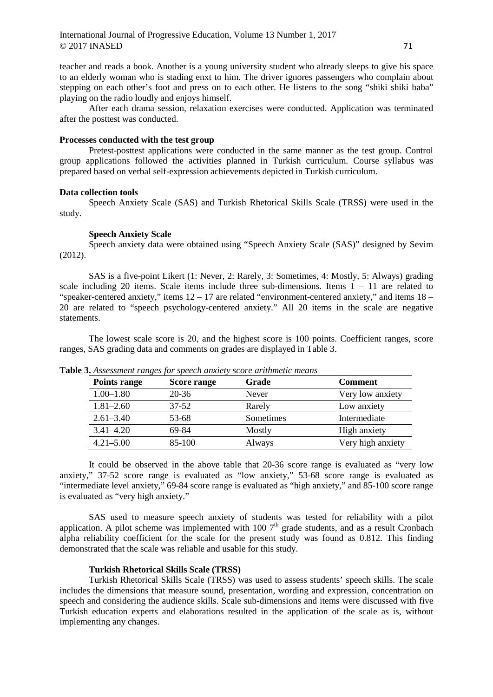teacher and reads a book. Another is a young university student who already sleeps to give his space to an elderly woman who is stading enxt to him. The driver ignores passengers who complain about stepping on each other's foot and press on to each other. He listens to the song "shiki shiki baba" playing on the radio loudly and enjoys himself.

After each drama session, relaxation exercises were conducted. Application was terminated after the posttest was conducted.

### **Processes conducted with the test group**

Pretest-posttest applications were conducted in the same manner as the test group. Control group applications followed the activities planned in Turkish curriculum. Course syllabus was prepared based on verbal self-expression achievements depicted in Turkish curriculum.

#### **Data collection tools**

Speech Anxiety Scale (SAS) and Turkish Rhetorical Skills Scale (TRSS) were used in the study.

#### **Speech Anxiety Scale**

Speech anxiety data were obtained using "Speech Anxiety Scale (SAS)" designed by Sevim (2012).

SAS is a five-point Likert (1: Never, 2: Rarely, 3: Sometimes, 4: Mostly, 5: Always) grading scale including 20 items. Scale items include three sub-dimensions. Items  $1 - 11$  are related to "speaker-centered anxiety," items  $12 - 17$  are related "environment-centered anxiety," and items  $18 -$ 20 are related to "speech psychology-centered anxiety." All 20 items in the scale are negative statements.

The lowest scale score is 20, and the highest score is 100 points. Coefficient ranges, score ranges, SAS grading data and comments on grades are displayed in Table 3.

| Points range  | Score range | Grade     | <b>Comment</b>    |
|---------------|-------------|-----------|-------------------|
| $1.00 - 1.80$ | 20-36       | Never     | Very low anxiety  |
| $1.81 - 2.60$ | $37 - 52$   | Rarely    | Low anxiety       |
| $2.61 - 3.40$ | 53-68       | Sometimes | Intermediate      |
| $3.41 - 4.20$ | 69-84       | Mostly    | High anxiety      |
| $4.21 - 5.00$ | 85-100      | Always    | Very high anxiety |

**Table 3.** *Assessment ranges for speech anxiety score arithmetic means*

It could be observed in the above table that 20-36 score range is evaluated as "very low anxiety," 37-52 score range is evaluated as "low anxiety," 53-68 score range is evaluated as "intermediate level anxiety," 69-84 score range is evaluated as "high anxiety," and 85-100 score range is evaluated as "very high anxiety."

SAS used to measure speech anxiety of students was tested for reliability with a pilot application. A pilot scheme was implemented with  $1007<sup>th</sup>$  grade students, and as a result Cronbach alpha reliability coefficient for the scale for the present study was found as 0.812. This finding demonstrated that the scale was reliable and usable for this study.

### **Turkish Rhetorical Skills Scale (TRSS)**

Turkish Rhetorical Skills Scale (TRSS) was used to assess students' speech skills. The scale includes the dimensions that measure sound, presentation, wording and expression, concentration on speech and considering the audience skills. Scale sub-dimensions and items were discussed with five Turkish education experts and elaborations resulted in the application of the scale as is, without implementing any changes.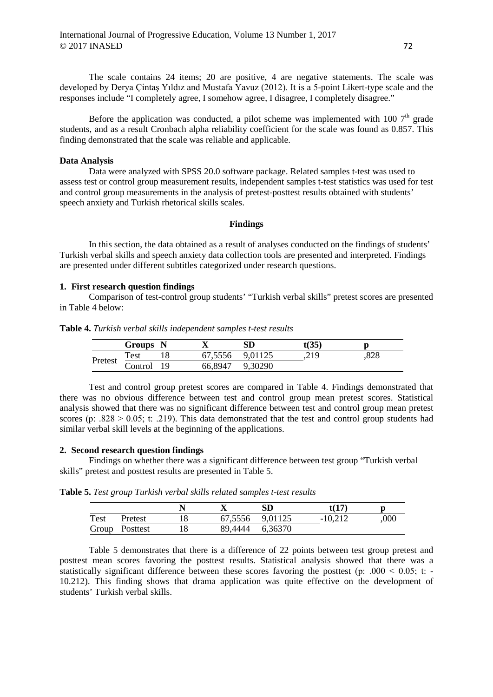The scale contains 24 items; 20 are positive, 4 are negative statements. The scale was developed by Derya Çintaş Yıldız and Mustafa Yavuz (2012). It is a 5-point Likert-type scale and the responses include "I completely agree, I somehow agree, I disagree, I completely disagree."

Before the application was conducted, a pilot scheme was implemented with 100  $7<sup>th</sup>$  grade students, and as a result Cronbach alpha reliability coefficient for the scale was found as 0.857. This finding demonstrated that the scale was reliable and applicable.

# **Data Analysis**

Data were analyzed with SPSS 20.0 software package. Related samples t-test was used to assess test or control group measurement results, independent samples t-test statistics was used for test and control group measurements in the analysis of pretest-posttest results obtained with students' speech anxiety and Turkish rhetorical skills scales.

### **Findings**

In this section, the data obtained as a result of analyses conducted on the findings of students' Turkish verbal skills and speech anxiety data collection tools are presented and interpreted. Findings are presented under different subtitles categorized under research questions.

### **1. First research question findings**

Comparison of test-control group students' "Turkish verbal skills" pretest scores are presented in Table 4 below:

| Table 4. Turkish verbal skills independent samples t-test results |  |  |  |
|-------------------------------------------------------------------|--|--|--|
|-------------------------------------------------------------------|--|--|--|

|         | Groups N    |     |         | SD      | t $(35)$ |                 |
|---------|-------------|-----|---------|---------|----------|-----------------|
|         | <b>Test</b> |     | 67,5556 | 9,01125 | ,219     | $\circ$<br>ه∠ه. |
| Pretest | Control     | 1 Q | 66,8947 | 9,30290 |          |                 |

Test and control group pretest scores are compared in Table 4. Findings demonstrated that there was no obvious difference between test and control group mean pretest scores. Statistical analysis showed that there was no significant difference between test and control group mean pretest scores (p: .828  $> 0.05$ ; t: .219). This data demonstrated that the test and control group students had similar verbal skill levels at the beginning of the applications.

#### **2. Second research question findings**

Findings on whether there was a significant difference between test group "Turkish verbal skills" pretest and posttest results are presented in Table 5.

**Table 5.** *Test group Turkish verbal skills related samples t-test results*

|       |          |                 | SD      | t(17)     |      |
|-------|----------|-----------------|---------|-----------|------|
| Test  | Pretest  | 67,5556 9,01125 |         | $-10,212$ | ,000 |
| Group | Posttest | 89,4444         | 6,36370 |           |      |

Table 5 demonstrates that there is a difference of 22 points between test group pretest and posttest mean scores favoring the posttest results. Statistical analysis showed that there was a statistically significant difference between these scores favoring the posttest (p:  $.000 \le 0.05$ ; t: -10.212). This finding shows that drama application was quite effective on the development of students' Turkish verbal skills.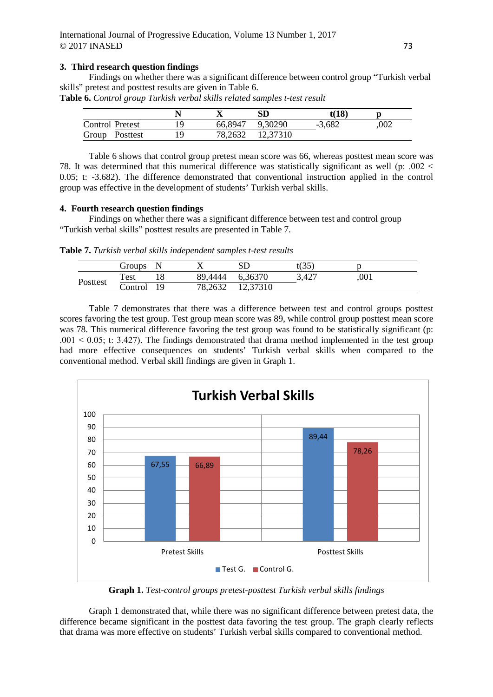# **3. Third research question findings**

Findings on whether there was a significant difference between control group "Turkish verbal skills" pretest and posttest results are given in Table 6.

**Table 6.** *Control group Turkish verbal skills related samples t-test result*

|                        |  |                  | t(18)    |      |
|------------------------|--|------------------|----------|------|
| <b>Control Pretest</b> |  | 66,8947 9,30290  | $-3.682$ | .002 |
| Group Posttest         |  | 78,2632 12,37310 |          |      |

Table 6 shows that control group pretest mean score was 66, whereas posttest mean score was 78. It was determined that this numerical difference was statistically significant as well (p: .002 ˂ 0.05; t: -3.682). The difference demonstrated that conventional instruction applied in the control group was effective in the development of students' Turkish verbal skills.

#### **4. Fourth research question findings**

Findings on whether there was a significant difference between test and control group "Turkish verbal skills" posttest results are presented in Table 7.

**Table 7.** *Turkish verbal skills independent samples t-test results*

|          | Groups  |      |         |          | $\mathfrak{t}(35)$ |      |
|----------|---------|------|---------|----------|--------------------|------|
|          | Test    |      | 89,4444 | 6,36370  | 3,427              | ,001 |
| Posttest | Control | - 19 | 78,2632 | 12,37310 |                    |      |

Table 7 demonstrates that there was a difference between test and control groups posttest scores favoring the test group. Test group mean score was 89, while control group posttest mean score was 78. This numerical difference favoring the test group was found to be statistically significant (p:  $.001 \le 0.05$ ; t: 3.427). The findings demonstrated that drama method implemented in the test group had more effective consequences on students' Turkish verbal skills when compared to the conventional method. Verbal skill findings are given in Graph 1.



**Graph 1.** *Test-control groups pretest-posttest Turkish verbal skills findings*

Graph 1 demonstrated that, while there was no significant difference between pretest data, the difference became significant in the posttest data favoring the test group. The graph clearly reflects that drama was more effective on students' Turkish verbal skills compared to conventional method.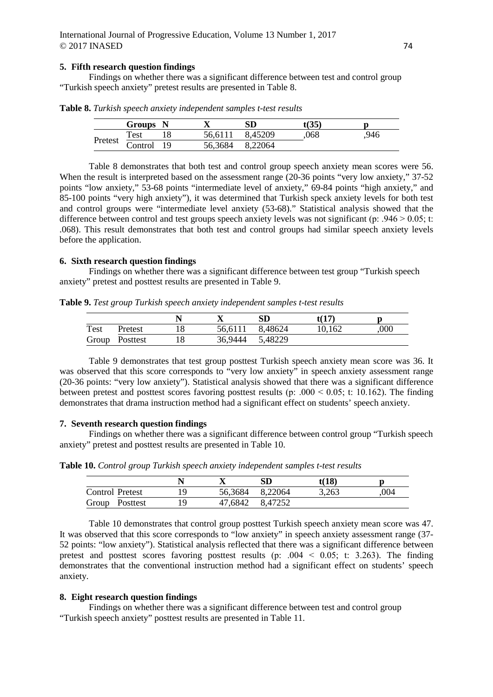### **5. Fifth research question findings**

Findings on whether there was a significant difference between test and control group "Turkish speech anxiety" pretest results are presented in Table 8.

|         | Groups N                       |                 | SD      | t(35) |     |
|---------|--------------------------------|-----------------|---------|-------|-----|
|         | Test                           | 56,6111         | 8,45209 | .068  | 946 |
| Pretest | $\overline{\text{Control}}$ 19 | 56,3684 8,22064 |         |       |     |

**Table 8.** *Turkish speech anxiety independent samples t-test results*

Table 8 demonstrates that both test and control group speech anxiety mean scores were 56. When the result is interpreted based on the assessment range (20-36 points "very low anxiety," 37-52 points "low anxiety," 53-68 points "intermediate level of anxiety," 69-84 points "high anxiety," and 85-100 points "very high anxiety"), it was determined that Turkish speck anxiety levels for both test and control groups were "intermediate level anxiety (53-68)." Statistical analysis showed that the difference between control and test groups speech anxiety levels was not significant (p: .946  $> 0.05$ ; t: .068). This result demonstrates that both test and control groups had similar speech anxiety levels before the application.

# **6. Sixth research question findings**

Findings on whether there was a significant difference between test group "Turkish speech anxiety" pretest and posttest results are presented in Table 9.

**Table 9.** *Test group Turkish speech anxiety independent samples t-test results*

|      |                |  | SD              | t(17)  |     |
|------|----------------|--|-----------------|--------|-----|
| Test | Pretest        |  | 56,6111 8,48624 | 10.162 | 000 |
|      | Group Posttest |  | 36,9444 5,48229 |        |     |

Table 9 demonstrates that test group posttest Turkish speech anxiety mean score was 36. It was observed that this score corresponds to "very low anxiety" in speech anxiety assessment range (20-36 points: "very low anxiety"). Statistical analysis showed that there was a significant difference between pretest and posttest scores favoring posttest results (p:  $.000 \le 0.05$ ; t: 10.162). The finding demonstrates that drama instruction method had a significant effect on students' speech anxiety.

### **7. Seventh research question findings**

Findings on whether there was a significant difference between control group "Turkish speech anxiety" pretest and posttest results are presented in Table 10.

**Table 10.** *Control group Turkish speech anxiety independent samples t-test results*

|                 |                 | SD              | t(18) |      |
|-----------------|-----------------|-----------------|-------|------|
| Control Pretest | 56,3684 8,22064 |                 | 3,263 | .004 |
| Group Posttest  |                 | 47,6842 8,47252 |       |      |

Table 10 demonstrates that control group posttest Turkish speech anxiety mean score was 47. It was observed that this score corresponds to "low anxiety" in speech anxiety assessment range (37- 52 points: "low anxiety"). Statistical analysis reflected that there was a significant difference between pretest and posttest scores favoring posttest results (p:  $.004 \le 0.05$ ; t: 3.263). The finding demonstrates that the conventional instruction method had a significant effect on students' speech anxiety.

### **8. Eight research question findings**

Findings on whether there was a significant difference between test and control group "Turkish speech anxiety" posttest results are presented in Table 11.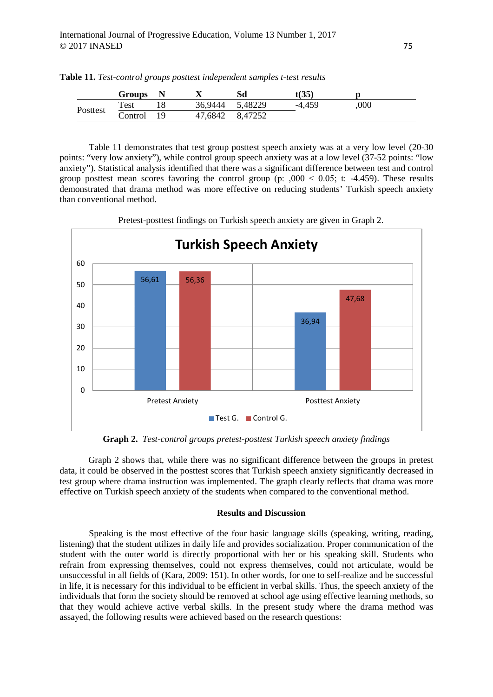|          | Groups  |    | ∡≖      | Sd      | $\mathfrak{c}(35)$ |      |  |
|----------|---------|----|---------|---------|--------------------|------|--|
| Posttest | Test    |    | 36,9444 | 5,48229 | -4.459             | ,000 |  |
|          | Control | 19 | 47,6842 | 8,47252 |                    |      |  |

**Table 11.** *Test-control groups posttest independent samples t-test results*

Table 11 demonstrates that test group posttest speech anxiety was at a very low level (20-30 points: "very low anxiety"), while control group speech anxiety was at a low level (37-52 points: "low anxiety"). Statistical analysis identified that there was a significant difference between test and control group posttest mean scores favoring the control group (p:  $,000 < 0.05$ ; t: -4.459). These results demonstrated that drama method was more effective on reducing students' Turkish speech anxiety than conventional method.



Pretest-posttest findings on Turkish speech anxiety are given in Graph 2.

**Graph 2.** *Test-control groups pretest-posttest Turkish speech anxiety findings*

Graph 2 shows that, while there was no significant difference between the groups in pretest data, it could be observed in the posttest scores that Turkish speech anxiety significantly decreased in test group where drama instruction was implemented. The graph clearly reflects that drama was more effective on Turkish speech anxiety of the students when compared to the conventional method.

# **Results and Discussion**

Speaking is the most effective of the four basic language skills (speaking, writing, reading, listening) that the student utilizes in daily life and provides socialization. Proper communication of the student with the outer world is directly proportional with her or his speaking skill. Students who refrain from expressing themselves, could not express themselves, could not articulate, would be unsuccessful in all fields of (Kara, 2009: 151). In other words, for one to self-realize and be successful in life, it is necessary for this individual to be efficient in verbal skills. Thus, the speech anxiety of the individuals that form the society should be removed at school age using effective learning methods, so that they would achieve active verbal skills. In the present study where the drama method was assayed, the following results were achieved based on the research questions: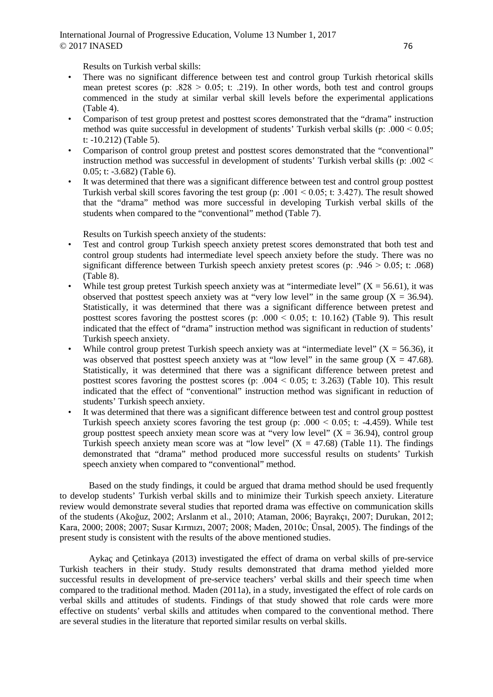Results on Turkish verbal skills:

- There was no significant difference between test and control group Turkish rhetorical skills mean pretest scores (p:  $.828 > 0.05$ ; t: .219). In other words, both test and control groups commenced in the study at similar verbal skill levels before the experimental applications (Table 4).
- Comparison of test group pretest and posttest scores demonstrated that the "drama" instruction method was quite successful in development of students' Turkish verbal skills (p: .000  $< 0.05$ ; t: -10.212) (Table 5).
- Comparison of control group pretest and posttest scores demonstrated that the "conventional" instruction method was successful in development of students' Turkish verbal skills (p: .002 ˂ 0.05; t: -3.682) (Table 6).
- It was determined that there was a significant difference between test and control group posttest Turkish verbal skill scores favoring the test group (p:  $.001 \le 0.05$ ; t: 3.427). The result showed that the "drama" method was more successful in developing Turkish verbal skills of the students when compared to the "conventional" method (Table 7).

Results on Turkish speech anxiety of the students:

- Test and control group Turkish speech anxiety pretest scores demonstrated that both test and control group students had intermediate level speech anxiety before the study. There was no significant difference between Turkish speech anxiety pretest scores (p: .946  $> 0.05$ ; t: .068) (Table 8).
- While test group pretest Turkish speech anxiety was at "intermediate level"  $(X = 56.61)$ , it was observed that posttest speech anxiety was at "very low level" in the same group  $(X = 36.94)$ . Statistically, it was determined that there was a significant difference between pretest and posttest scores favoring the posttest scores (p:  $.000 \le 0.05$ ; t: 10.162) (Table 9). This result indicated that the effect of "drama" instruction method was significant in reduction of students' Turkish speech anxiety.
- While control group pretest Turkish speech anxiety was at "intermediate level" ( $X = 56.36$ ), it was observed that posttest speech anxiety was at "low level" in the same group ( $X = 47.68$ ). Statistically, it was determined that there was a significant difference between pretest and posttest scores favoring the posttest scores (p:  $.004 \le 0.05$ ; t: 3.263) (Table 10). This result indicated that the effect of "conventional" instruction method was significant in reduction of students' Turkish speech anxiety.
- It was determined that there was a significant difference between test and control group posttest Turkish speech anxiety scores favoring the test group (p:  $.000 \le 0.05$ ; t: -4.459). While test group posttest speech anxiety mean score was at "very low level"  $(X = 36.94)$ , control group Turkish speech anxiety mean score was at "low level"  $(X = 47.68)$  (Table 11). The findings demonstrated that "drama" method produced more successful results on students' Turkish speech anxiety when compared to "conventional" method.

Based on the study findings, it could be argued that drama method should be used frequently to develop students' Turkish verbal skills and to minimize their Turkish speech anxiety. Literature review would demonstrate several studies that reported drama was effective on communication skills of the students (Akoğuz, 2002; Arslanm et al., 2010; Ataman, 2006; Bayrakçı, 2007; Durukan, 2012; Kara, 2000; 2008; 2007; Susar Kırmızı, 2007; 2008; Maden, 2010c; Ünsal, 2005). The findings of the present study is consistent with the results of the above mentioned studies.

Aykaç and Çetinkaya (2013) investigated the effect of drama on verbal skills of pre-service Turkish teachers in their study. Study results demonstrated that drama method yielded more successful results in development of pre-service teachers' verbal skills and their speech time when compared to the traditional method. Maden (2011a), in a study, investigated the effect of role cards on verbal skills and attitudes of students. Findings of that study showed that role cards were more effective on students' verbal skills and attitudes when compared to the conventional method. There are several studies in the literature that reported similar results on verbal skills.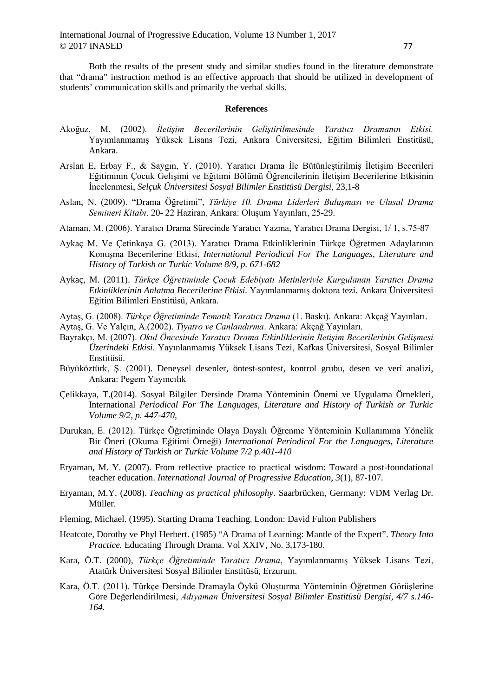Both the results of the present study and similar studies found in the literature demonstrate that "drama" instruction method is an effective approach that should be utilized in development of students' communication skills and primarily the verbal skills.

#### **References**

- Akoğuz, M. (2002). *İletişim Becerilerinin Geliştirilmesinde Yaratıcı Dramanın Etkisi.*  Yayımlanmamış Yüksek Lisans Tezi, Ankara Üniversitesi, Eğitim Bilimleri Enstitüsü, Ankara.
- Arslan E, Erbay F., & Saygın, Y. (2010). Yaratıcı Drama İle Bütünleştirilmiş İletişim Becerileri Eğitiminin Çocuk Gelişimi ve Eğitimi Bölümü Öğrencilerinin İletişim Becerilerine Etkisinin İncelenmesi, *Selçuk Üniversitesi Sosyal Bilimler Enstitüsü Dergisi*, 23,1-8
- Aslan, N. (2009). "Drama Öğretimi", *Türkiye 10. Drama Liderleri Buluşması ve Ulusal Drama Semineri Kitabı*. 20- 22 Haziran, Ankara: Oluşum Yayınları, 25-29.
- Ataman, M. (2006). Yaratıcı Drama Sürecinde Yaratıcı Yazma, Yaratıcı Drama Dergisi, 1/ 1, s.75-87
- Aykaç M. Ve Çetinkaya G. (2013). Yaratıcı Drama Etkinliklerinin Türkçe Öğretmen Adaylarının Konuşma Becerilerine Etkisi, *International Periodical For The Languages, Literature and History of Turkish or Turkic Volume 8/9, p. 671-682*
- Aykaç, M. (2011). *Türkçe Öğretiminde Çocuk Edebiyatı Metinleriyle Kurgulanan Yaratıcı Drama Etkinliklerinin Anlatma Becerilerine Etkisi.* Yayımlanmamış doktora tezi. Ankara Üniversitesi Eğitim Bilimleri Enstitüsü, Ankara.
- Aytaş, G. (2008). *Türkçe Öğretiminde Tematik Yaratıcı Drama* (1. Baskı). Ankara: Akçağ Yayınları.
- Aytaş, G. Ve Yalçın, A.(2002). *Tiyatro ve Canlandırma*. Ankara: Akçağ Yayınları.
- Bayrakçı, M. (2007). *Okul Öncesinde Yaratıcı Drama Etkinliklerinin İletişim Becerilerinin Gelişmesi Üzerindeki Etkisi*. Yayınlanmamış Yüksek Lisans Tezi, Kafkas Üniversitesi, Sosyal Bilimler Enstitüsü.
- Büyüköztürk, Ş. (2001). Deneysel desenler, öntest-sontest, kontrol grubu, desen ve veri analizi, Ankara: Pegem Yayıncılık
- Çelikkaya, T.(2014). Sosyal Bilgiler Dersinde Drama Yönteminin Önemi ve Uygulama Örnekleri, International *Periodical For The Languages, Literature and History of Turkish or Turkic Volume 9/2, p. 447-470,*
- Durukan, E. (2012). Türkçe Öğretiminde Olaya Dayalı Öğrenme Yönteminin Kullanımına Yönelik Bir Öneri (Okuma Eğitimi Örneği) *International Periodical For the Languages, Literature and History of Turkish or Turkic Volume 7/2 p.401-410*
- Eryaman, M. Y. (2007). From reflective practice to practical wisdom: Toward a post-foundational teacher education. *International Journal of Progressive Education*, *3*(1), 87-107.
- Eryaman, M.Y. (2008). *Teaching as practical philosophy*. Saarbrücken, Germany: VDM Verlag Dr. Müller.
- Fleming, Michael. (1995). Starting Drama Teaching. London: David Fulton Publishers
- Heatcote, Dorothy ve Phyl Herbert. (1985) "A Drama of Learning: Mantle of the Expert". *Theory Into Practice.* Educating Through Drama. Vol XXIV, No. 3,173-180.
- Kara, Ö.T. (2000), *Türkçe Öğretiminde Yaratıcı Drama*, Yayımlanmamış Yüksek Lisans Tezi, Atatürk Üniversitesi Sosyal Bilimler Enstitüsü, Erzurum.
- Kara, Ö.T. (2011). Türkçe Dersinde Dramayla Öykü Oluşturma Yönteminin Öğretmen Görüşlerine Göre Değerlendirilmesi, *Adıyaman Üniversitesi Sosyal Bilimler Enstitüsü Dergisi, 4/7 s.146- 164.*